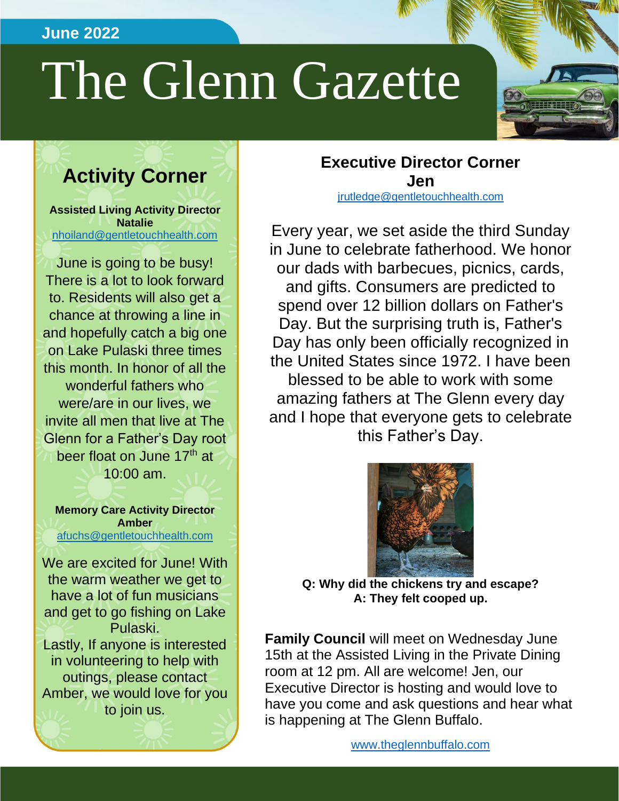## **June 2022**

# The Glenn Gazette

# **Activity Corner**

**Assisted Living Activity Director Natalie** [nhoiland@gentletouchhealth.com](mailto:nhoiland@gentletouchhealth.com)

June is going to be busy! There is a lot to look forward to. Residents will also get a chance at throwing a line in and hopefully catch a big one on Lake Pulaski three times this month. In honor of all the wonderful fathers who were/are in our lives, we invite all men that live at The Glenn for a Father's Day root beer float on June 17<sup>th</sup> at 10:00 am.

**Memory Care Activity Director Amber** [afuchs@gentletouchhealth.com](mailto:afuchs@gentletouchhealth.com)

We are excited for June! With the warm weather we get to have a lot of fun musicians and get to go fishing on Lake Pulaski. Lastly, If anyone is interested in volunteering to help with outings, please contact Amber, we would love for you to join us.

**Executive Director Corner Jen** [jrutledge@gentletouchhealth.com](mailto:jrutledge@gentletouchhealth.com)

Every year, we set aside the third Sunday in June to celebrate fatherhood. We honor our dads with barbecues, picnics, cards, and gifts. Consumers are predicted to spend over 12 billion dollars on Father's Day. But the surprising truth is, Father's Day has only been officially recognized in the United States since 1972. I have been blessed to be able to work with some amazing fathers at The Glenn every day and I hope that everyone gets to celebrate this Father's Day.



**Q: Why did the chickens try and escape? A: They felt cooped up.**

**Family Council** will meet on Wednesday June 15th at the Assisted Living in the Private Dining room at 12 pm. All are welcome! Jen, our Executive Director is hosting and would love to have you come and ask questions and hear what is happening at The Glenn Buffalo.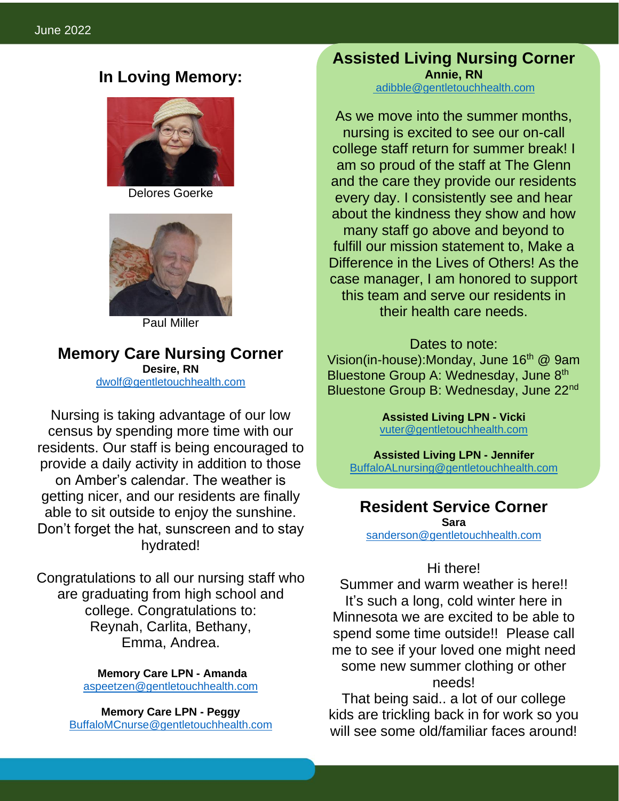## **In Loving Memory:**



Delores Goerke



Paul Miller

**Memory Care Nursing Corner Desire, RN**

[dwolf@gentletouchhealth.com](mailto:dwolf@gentletouchhealth.com)

Nursing is taking advantage of our low census by spending more time with our residents. Our staff is being encouraged to provide a daily activity in addition to those on Amber's calendar. The weather is getting nicer, and our residents are finally able to sit outside to enjoy the sunshine. Don't forget the hat, sunscreen and to stay hydrated!

Congratulations to all our nursing staff who are graduating from high school and college. Congratulations to: Reynah, Carlita, Bethany, Emma, Andrea.

> **Memory Care LPN - Amanda** [aspeetzen@gentletouchhealth.com](mailto:aspeetzen@gentletouchhealth.com)

**Memory Care LPN - Peggy** [BuffaloMCnurse@gentletouchhealth.com](mailto:BuffaloMCnurse@gentletouchhealth.com) **Assisted Living Nursing Corner Annie, RN** [adibble@gentletouchhealth.com](mailto:adibble@gentletouchhealth.com)

ï

As we move into the summer months, nursing is excited to see our on-call college staff return for summer break! I am so proud of the staff at The Glenn and the care they provide our residents every day. I consistently see and hear about the kindness they show and how many staff go above and beyond to fulfill our mission statement to, Make a Difference in the Lives of Others! As the case manager, I am honored to support this team and serve our residents in their health care needs.

#### Dates to note:

Vision(in-house):Monday, June 16<sup>th</sup> @ 9am Bluestone Group A: Wednesday, June 8<sup>th</sup> Bluestone Group B: Wednesday, June 22<sup>nd</sup>

> **Assisted Living LPN - Vicki**  [vuter@gentletouchhealth.com](mailto:vuter@gentletouchhealth.com)

**Assisted Living LPN - Jennifer** [BuffaloALnursing@gentletouchhealth.com](mailto:BuffaloALnursing@gentletouchhealth.com)

# **Resident Service Corner**

**Sara** [sanderson@gentletouchhealth.com](mailto:sanderson@gentletouchhealth.com)

#### Hi there!

Summer and warm weather is here!! It's such a long, cold winter here in Minnesota we are excited to be able to spend some time outside!! Please call me to see if your loved one might need some new summer clothing or other needs!

That being said.. a lot of our college kids are trickling back in for work so you will see some old/familiar faces around!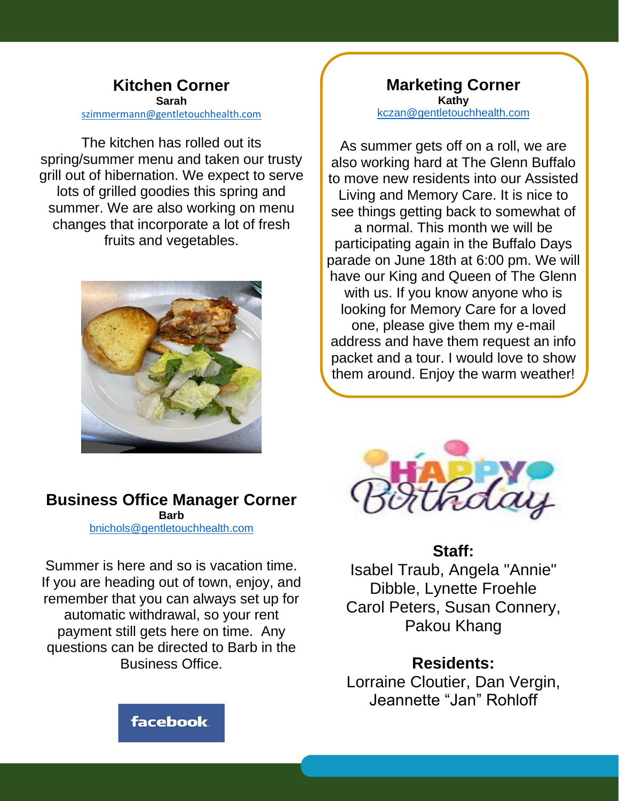#### **Kitchen Corner Sarah** [szimmermann@gentletouchhealth.com](mailto:szimmermann@gentletouchhealth.com)

The kitchen has rolled out its spring/summer menu and taken our trusty grill out of hibernation. We expect to serve lots of grilled goodies this spring and summer. We are also working on menu changes that incorporate a lot of fresh fruits and vegetables.



# **Business Office Manager Corner**

**Barb** [bnichols@gentletouchhealth.com](mailto:bnichols@gentletouchhealth.com)

Summer is here and so is vacation time. If you are heading out of town, enjoy, and remember that you can always set up for automatic withdrawal, so your rent payment still gets here on time. Any questions can be directed to Barb in the Business Office.

**Marketing Corner Kathy**  [kczan@gentletouchhealth.com](mailto:kczan@gentletouchhealth.com)

As summer gets off on a roll, we are also working hard at The Glenn Buffalo to move new residents into our Assisted Living and Memory Care. It is nice to see things getting back to somewhat of a normal. This month we will be participating again in the Buffalo Days parade on June 18th at 6:00 pm. We will have our King and Queen of The Glenn with us. If you know anyone who is looking for Memory Care for a loved one, please give them my e-mail address and have them request an info packet and a tour. I would love to show them around. Enjoy the warm weather!



# **Staff:**

Isabel Traub, Angela "Annie" Dibble, Lynette Froehle Carol Peters, Susan Connery, Pakou Khang

**Residents:** Lorraine Cloutier, Dan Vergin, Jeannette "Jan" Rohloff

facebook.